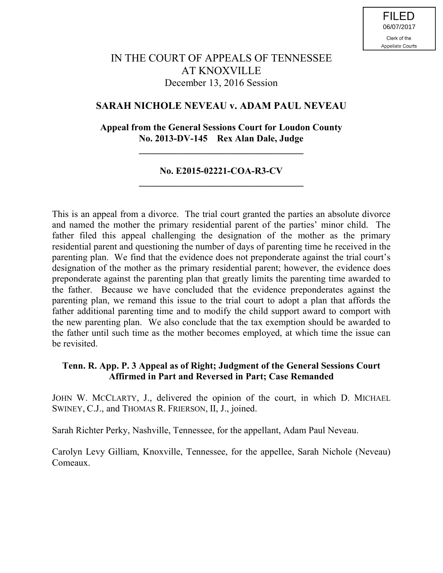# IN THE COURT OF APPEALS OF TENNESSEE AT KNOXVILLE December 13, 2016 Session

## **SARAH NICHOLE NEVEAU v. ADAM PAUL NEVEAU**

## **Appeal from the General Sessions Court for Loudon County No. 2013-DV-145 Rex Alan Dale, Judge**

**\_\_\_\_\_\_\_\_\_\_\_\_\_\_\_\_\_\_\_\_\_\_\_\_\_\_\_\_\_\_\_\_\_\_\_**

## **No. E2015-02221-COA-R3-CV \_\_\_\_\_\_\_\_\_\_\_\_\_\_\_\_\_\_\_\_\_\_\_\_\_\_\_\_\_\_\_\_\_\_\_**

This is an appeal from a divorce. The trial court granted the parties an absolute divorce and named the mother the primary residential parent of the parties' minor child. The father filed this appeal challenging the designation of the mother as the primary residential parent and questioning the number of days of parenting time he received in the parenting plan. We find that the evidence does not preponderate against the trial court's designation of the mother as the primary residential parent; however, the evidence does preponderate against the parenting plan that greatly limits the parenting time awarded to the father. Because we have concluded that the evidence preponderates against the parenting plan, we remand this issue to the trial court to adopt a plan that affords the father additional parenting time and to modify the child support award to comport with the new parenting plan. We also conclude that the tax exemption should be awarded to the father until such time as the mother becomes employed, at which time the issue can be revisited.

### **Tenn. R. App. P. 3 Appeal as of Right; Judgment of the General Sessions Court Affirmed in Part and Reversed in Part; Case Remanded**

JOHN W. MCCLARTY, J., delivered the opinion of the court, in which D. MICHAEL SWINEY, C.J., and THOMAS R. FRIERSON, II, J., joined.

Sarah Richter Perky, Nashville, Tennessee, for the appellant, Adam Paul Neveau.

Carolyn Levy Gilliam, Knoxville, Tennessee, for the appellee, Sarah Nichole (Neveau) Comeaux.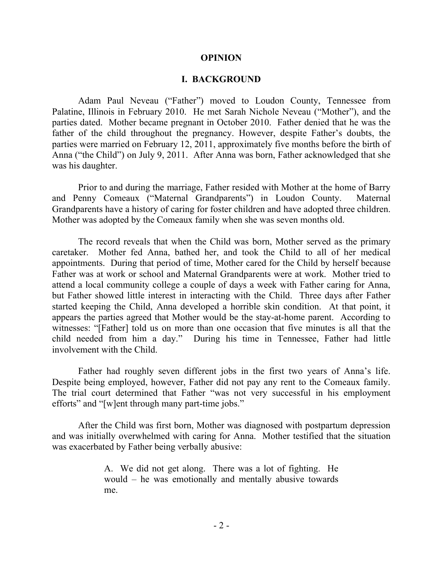#### **OPINION**

#### **I. BACKGROUND**

Adam Paul Neveau ("Father") moved to Loudon County, Tennessee from Palatine, Illinois in February 2010. He met Sarah Nichole Neveau ("Mother"), and the parties dated. Mother became pregnant in October 2010. Father denied that he was the father of the child throughout the pregnancy. However, despite Father's doubts, the parties were married on February 12, 2011, approximately five months before the birth of Anna ("the Child") on July 9, 2011. After Anna was born, Father acknowledged that she was his daughter.

Prior to and during the marriage, Father resided with Mother at the home of Barry and Penny Comeaux ("Maternal Grandparents") in Loudon County. Maternal Grandparents have a history of caring for foster children and have adopted three children. Mother was adopted by the Comeaux family when she was seven months old.

The record reveals that when the Child was born, Mother served as the primary caretaker. Mother fed Anna, bathed her, and took the Child to all of her medical appointments. During that period of time, Mother cared for the Child by herself because Father was at work or school and Maternal Grandparents were at work. Mother tried to attend a local community college a couple of days a week with Father caring for Anna, but Father showed little interest in interacting with the Child. Three days after Father started keeping the Child, Anna developed a horrible skin condition. At that point, it appears the parties agreed that Mother would be the stay-at-home parent. According to witnesses: "[Father] told us on more than one occasion that five minutes is all that the child needed from him a day." During his time in Tennessee, Father had little involvement with the Child.

Father had roughly seven different jobs in the first two years of Anna's life. Despite being employed, however, Father did not pay any rent to the Comeaux family. The trial court determined that Father "was not very successful in his employment efforts" and "[w]ent through many part-time jobs."

After the Child was first born, Mother was diagnosed with postpartum depression and was initially overwhelmed with caring for Anna. Mother testified that the situation was exacerbated by Father being verbally abusive:

> A. We did not get along. There was a lot of fighting. He would – he was emotionally and mentally abusive towards me.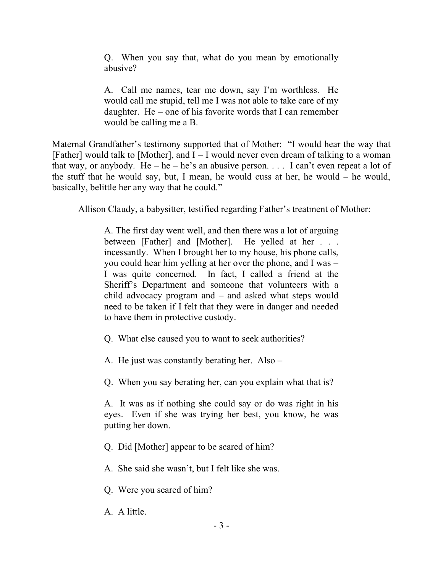Q. When you say that, what do you mean by emotionally abusive?

A. Call me names, tear me down, say I'm worthless. He would call me stupid, tell me I was not able to take care of my daughter. He – one of his favorite words that I can remember would be calling me a B.

Maternal Grandfather's testimony supported that of Mother: "I would hear the way that [Father] would talk to [Mother], and  $I - I$  would never even dream of talking to a woman that way, or anybody. He – he – he's an abusive person.  $\ldots$  I can't even repeat a lot of the stuff that he would say, but, I mean, he would cuss at her, he would – he would, basically, belittle her any way that he could."

Allison Claudy, a babysitter, testified regarding Father's treatment of Mother:

A. The first day went well, and then there was a lot of arguing between [Father] and [Mother]. He yelled at her . . . incessantly. When I brought her to my house, his phone calls, you could hear him yelling at her over the phone, and I was – I was quite concerned. In fact, I called a friend at the Sheriff's Department and someone that volunteers with a child advocacy program and – and asked what steps would need to be taken if I felt that they were in danger and needed to have them in protective custody.

- Q. What else caused you to want to seek authorities?
- A. He just was constantly berating her. Also –
- Q. When you say berating her, can you explain what that is?

A. It was as if nothing she could say or do was right in his eyes. Even if she was trying her best, you know, he was putting her down.

- Q. Did [Mother] appear to be scared of him?
- A. She said she wasn't, but I felt like she was.
- Q. Were you scared of him?
- A. A little.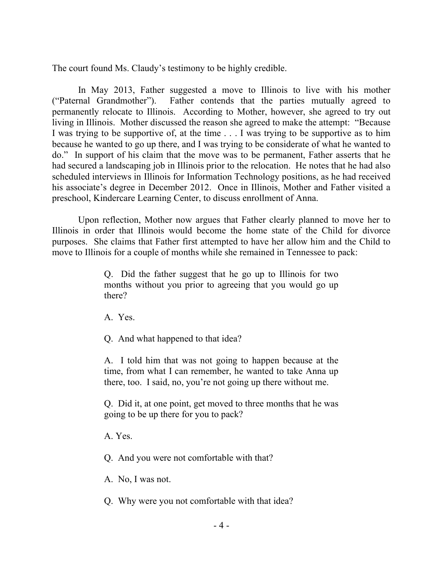The court found Ms. Claudy's testimony to be highly credible.

In May 2013, Father suggested a move to Illinois to live with his mother ("Paternal Grandmother"). Father contends that the parties mutually agreed to permanently relocate to Illinois. According to Mother, however, she agreed to try out living in Illinois. Mother discussed the reason she agreed to make the attempt: "Because I was trying to be supportive of, at the time . . . I was trying to be supportive as to him because he wanted to go up there, and I was trying to be considerate of what he wanted to do." In support of his claim that the move was to be permanent, Father asserts that he had secured a landscaping job in Illinois prior to the relocation. He notes that he had also scheduled interviews in Illinois for Information Technology positions, as he had received his associate's degree in December 2012. Once in Illinois, Mother and Father visited a preschool, Kindercare Learning Center, to discuss enrollment of Anna.

Upon reflection, Mother now argues that Father clearly planned to move her to Illinois in order that Illinois would become the home state of the Child for divorce purposes. She claims that Father first attempted to have her allow him and the Child to move to Illinois for a couple of months while she remained in Tennessee to pack:

> Q. Did the father suggest that he go up to Illinois for two months without you prior to agreeing that you would go up there?

A. Yes.

Q. And what happened to that idea?

A. I told him that was not going to happen because at the time, from what I can remember, he wanted to take Anna up there, too. I said, no, you're not going up there without me.

Q. Did it, at one point, get moved to three months that he was going to be up there for you to pack?

A. Yes.

Q. And you were not comfortable with that?

A. No, I was not.

Q. Why were you not comfortable with that idea?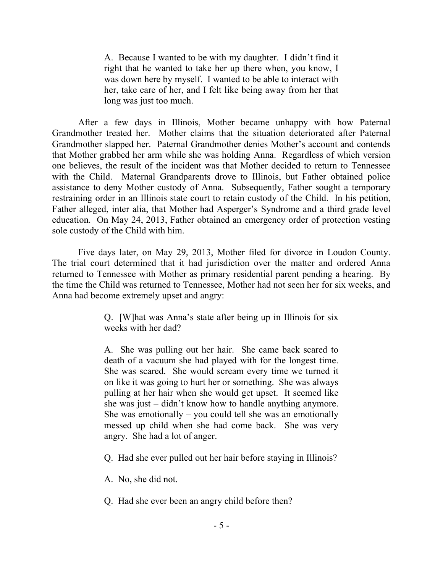A. Because I wanted to be with my daughter. I didn't find it right that he wanted to take her up there when, you know, I was down here by myself. I wanted to be able to interact with her, take care of her, and I felt like being away from her that long was just too much.

After a few days in Illinois, Mother became unhappy with how Paternal Grandmother treated her. Mother claims that the situation deteriorated after Paternal Grandmother slapped her. Paternal Grandmother denies Mother's account and contends that Mother grabbed her arm while she was holding Anna. Regardless of which version one believes, the result of the incident was that Mother decided to return to Tennessee with the Child. Maternal Grandparents drove to Illinois, but Father obtained police assistance to deny Mother custody of Anna. Subsequently, Father sought a temporary restraining order in an Illinois state court to retain custody of the Child. In his petition, Father alleged, inter alia, that Mother had Asperger's Syndrome and a third grade level education. On May 24, 2013, Father obtained an emergency order of protection vesting sole custody of the Child with him.

Five days later, on May 29, 2013, Mother filed for divorce in Loudon County. The trial court determined that it had jurisdiction over the matter and ordered Anna returned to Tennessee with Mother as primary residential parent pending a hearing. By the time the Child was returned to Tennessee, Mother had not seen her for six weeks, and Anna had become extremely upset and angry:

> Q. [W]hat was Anna's state after being up in Illinois for six weeks with her dad?

> A. She was pulling out her hair. She came back scared to death of a vacuum she had played with for the longest time. She was scared. She would scream every time we turned it on like it was going to hurt her or something. She was always pulling at her hair when she would get upset. It seemed like she was just – didn't know how to handle anything anymore. She was emotionally – you could tell she was an emotionally messed up child when she had come back. She was very angry. She had a lot of anger.

> Q. Had she ever pulled out her hair before staying in Illinois?

A. No, she did not.

Q. Had she ever been an angry child before then?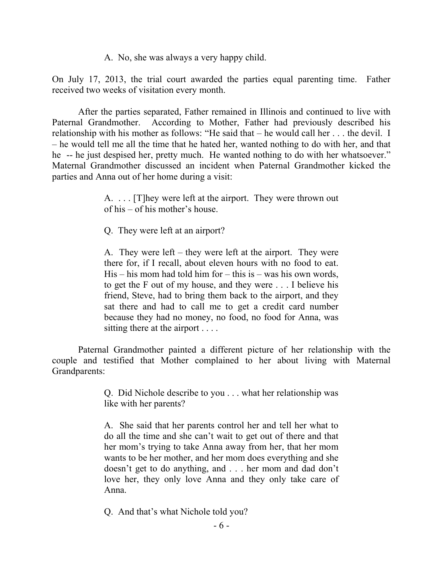A. No, she was always a very happy child.

On July 17, 2013, the trial court awarded the parties equal parenting time. Father received two weeks of visitation every month.

After the parties separated, Father remained in Illinois and continued to live with Paternal Grandmother. According to Mother, Father had previously described his relationship with his mother as follows: "He said that – he would call her . . . the devil. I – he would tell me all the time that he hated her, wanted nothing to do with her, and that he -- he just despised her, pretty much. He wanted nothing to do with her whatsoever." Maternal Grandmother discussed an incident when Paternal Grandmother kicked the parties and Anna out of her home during a visit:

> A. . . . [T]hey were left at the airport. They were thrown out of his – of his mother's house.

Q. They were left at an airport?

A. They were left – they were left at the airport. They were there for, if I recall, about eleven hours with no food to eat.  $His - his$  mom had told him for  $- this$  is  $- was$  his own words, to get the F out of my house, and they were . . . I believe his friend, Steve, had to bring them back to the airport, and they sat there and had to call me to get a credit card number because they had no money, no food, no food for Anna, was sitting there at the airport . . . .

Paternal Grandmother painted a different picture of her relationship with the couple and testified that Mother complained to her about living with Maternal Grandparents:

> Q. Did Nichole describe to you . . . what her relationship was like with her parents?

> A. She said that her parents control her and tell her what to do all the time and she can't wait to get out of there and that her mom's trying to take Anna away from her, that her mom wants to be her mother, and her mom does everything and she doesn't get to do anything, and . . . her mom and dad don't love her, they only love Anna and they only take care of Anna.

Q. And that's what Nichole told you?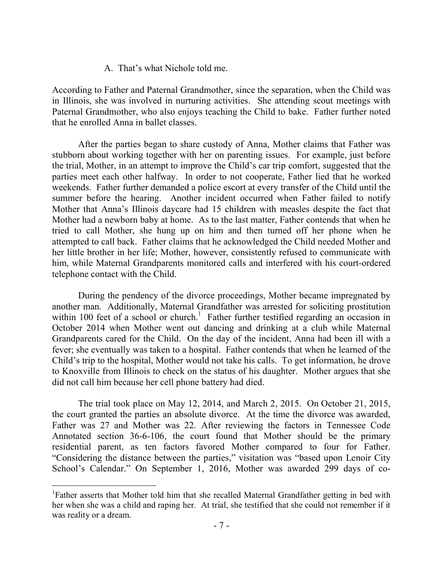A. That's what Nichole told me.

According to Father and Paternal Grandmother, since the separation, when the Child was in Illinois, she was involved in nurturing activities. She attending scout meetings with Paternal Grandmother, who also enjoys teaching the Child to bake. Father further noted that he enrolled Anna in ballet classes.

After the parties began to share custody of Anna, Mother claims that Father was stubborn about working together with her on parenting issues. For example, just before the trial, Mother, in an attempt to improve the Child's car trip comfort, suggested that the parties meet each other halfway. In order to not cooperate, Father lied that he worked weekends. Father further demanded a police escort at every transfer of the Child until the summer before the hearing. Another incident occurred when Father failed to notify Mother that Anna's Illinois daycare had 15 children with measles despite the fact that Mother had a newborn baby at home. As to the last matter, Father contends that when he tried to call Mother, she hung up on him and then turned off her phone when he attempted to call back. Father claims that he acknowledged the Child needed Mother and her little brother in her life; Mother, however, consistently refused to communicate with him, while Maternal Grandparents monitored calls and interfered with his court-ordered telephone contact with the Child.

During the pendency of the divorce proceedings, Mother became impregnated by another man. Additionally, Maternal Grandfather was arrested for soliciting prostitution within 100 feet of a school or church.<sup>1</sup> Father further testified regarding an occasion in October 2014 when Mother went out dancing and drinking at a club while Maternal Grandparents cared for the Child. On the day of the incident, Anna had been ill with a fever; she eventually was taken to a hospital. Father contends that when he learned of the Child's trip to the hospital, Mother would not take his calls. To get information, he drove to Knoxville from Illinois to check on the status of his daughter. Mother argues that she did not call him because her cell phone battery had died.

The trial took place on May 12, 2014, and March 2, 2015. On October 21, 2015, the court granted the parties an absolute divorce. At the time the divorce was awarded, Father was 27 and Mother was 22. After reviewing the factors in Tennessee Code Annotated section 36-6-106, the court found that Mother should be the primary residential parent, as ten factors favored Mother compared to four for Father. "Considering the distance between the parties," visitation was "based upon Lenoir City School's Calendar." On September 1, 2016, Mother was awarded 299 days of co-

<sup>&</sup>lt;sup>1</sup>Father asserts that Mother told him that she recalled Maternal Grandfather getting in bed with her when she was a child and raping her. At trial, she testified that she could not remember if it was reality or a dream.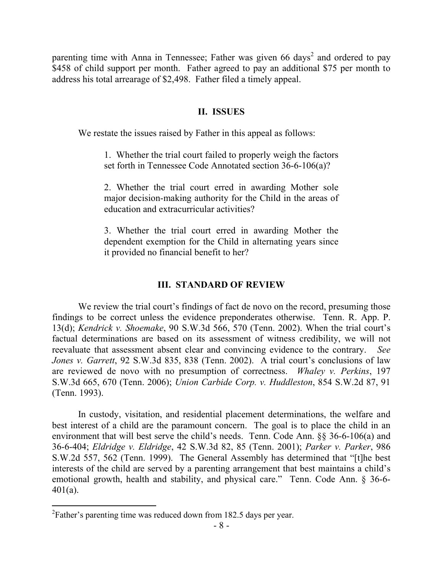parenting time with Anna in Tennessee; Father was given 66 days<sup>2</sup> and ordered to pay \$458 of child support per month. Father agreed to pay an additional \$75 per month to address his total arrearage of \$2,498. Father filed a timely appeal.

### **II. ISSUES**

We restate the issues raised by Father in this appeal as follows:

1. Whether the trial court failed to properly weigh the factors set forth in Tennessee Code Annotated section 36-6-106(a)?

2. Whether the trial court erred in awarding Mother sole major decision-making authority for the Child in the areas of education and extracurricular activities?

3. Whether the trial court erred in awarding Mother the dependent exemption for the Child in alternating years since it provided no financial benefit to her?

#### **III. STANDARD OF REVIEW**

We review the trial court's findings of fact de novo on the record, presuming those findings to be correct unless the evidence preponderates otherwise. Tenn. R. App. P. 13(d); *Kendrick v. Shoemake*, 90 S.W.3d 566, 570 (Tenn. 2002). When the trial court's factual determinations are based on its assessment of witness credibility, we will not reevaluate that assessment absent clear and convincing evidence to the contrary. *See Jones v. Garrett*, 92 S.W.3d 835, 838 (Tenn. 2002). A trial court's conclusions of law are reviewed de novo with no presumption of correctness. *Whaley v. Perkins*, 197 S.W.3d 665, 670 (Tenn. 2006); *Union Carbide Corp. v. Huddleston*, 854 S.W.2d 87, 91 (Tenn. 1993).

In custody, visitation, and residential placement determinations, the welfare and best interest of a child are the paramount concern. The goal is to place the child in an environment that will best serve the child's needs. Tenn. Code Ann. §§ 36-6-106(a) and 36-6-404; *Eldridge v. Eldridge*, 42 S.W.3d 82, 85 (Tenn. 2001); *Parker v. Parker*, 986 S.W.2d 557, 562 (Tenn. 1999). The General Assembly has determined that "[t]he best interests of the child are served by a parenting arrangement that best maintains a child's emotional growth, health and stability, and physical care." Tenn. Code Ann. § 36-6- 401(a).

 $\overline{a}$ 

 $2^2$ Father's parenting time was reduced down from 182.5 days per year.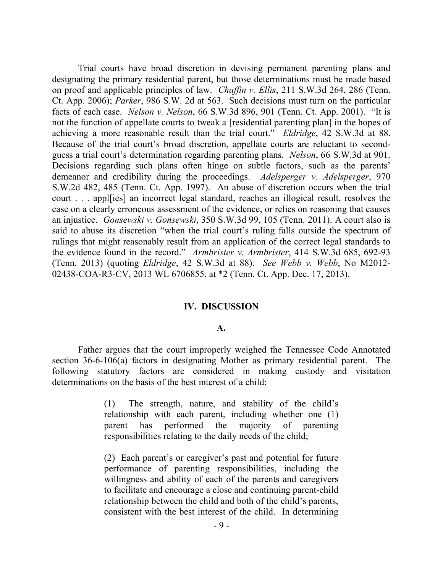Trial courts have broad discretion in devising permanent parenting plans and designating the primary residential parent, but those determinations must be made based on proof and applicable principles of law. *Chaffin v. Ellis*, 211 S.W.3d 264, 286 (Tenn. Ct. App. 2006); *Parker*, 986 S.W. 2d at 563. Such decisions must turn on the particular facts of each case. *Nelson v. Nelson*, 66 S.W.3d 896, 901 (Tenn. Ct. App. 2001). "It is not the function of appellate courts to tweak a [residential parenting plan] in the hopes of achieving a more reasonable result than the trial court." *Eldridge*, 42 S.W.3d at 88. Because of the trial court's broad discretion, appellate courts are reluctant to secondguess a trial court's determination regarding parenting plans. *Nelson*, 66 S.W.3d at 901. Decisions regarding such plans often hinge on subtle factors, such as the parents' demeanor and credibility during the proceedings. *Adelsperger v. Adelsperger*, 970 S.W.2d 482, 485 (Tenn. Ct. App. 1997). An abuse of discretion occurs when the trial court . . . appl[ies] an incorrect legal standard, reaches an illogical result, resolves the case on a clearly erroneous assessment of the evidence, or relies on reasoning that causes an injustice. *Gonsewski v. Gonsewski*, 350 S.W.3d 99, 105 (Tenn. 2011). A court also is said to abuse its discretion "when the trial court's ruling falls outside the spectrum of rulings that might reasonably result from an application of the correct legal standards to the evidence found in the record." *Armbrister v. Armbrister*, 414 S.W.3d 685, 692-93 (Tenn. 2013) (quoting *Eldridge*, 42 S.W.3d at 88). *See Webb v. Webb*, No M2012- 02438-COA-R3-CV, 2013 WL 6706855, at \*2 (Tenn. Ct. App. Dec. 17, 2013).

#### **IV. DISCUSSION**

#### **A.**

Father argues that the court improperly weighed the Tennessee Code Annotated section 36-6-106(a) factors in designating Mother as primary residential parent. The following statutory factors are considered in making custody and visitation determinations on the basis of the best interest of a child:

> (1) The strength, nature, and stability of the child's relationship with each parent, including whether one (1) parent has performed the majority of parenting responsibilities relating to the daily needs of the child;

> (2) Each parent's or caregiver's past and potential for future performance of parenting responsibilities, including the willingness and ability of each of the parents and caregivers to facilitate and encourage a close and continuing parent-child relationship between the child and both of the child's parents, consistent with the best interest of the child. In determining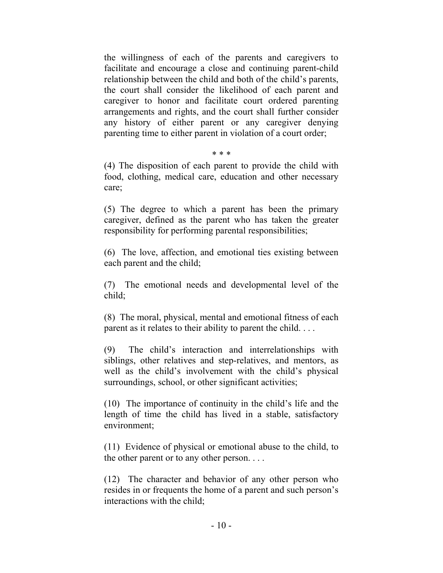the willingness of each of the parents and caregivers to facilitate and encourage a close and continuing parent-child relationship between the child and both of the child's parents, the court shall consider the likelihood of each parent and caregiver to honor and facilitate court ordered parenting arrangements and rights, and the court shall further consider any history of either parent or any caregiver denying parenting time to either parent in violation of a court order;

#### \* \* \*

(4) The disposition of each parent to provide the child with food, clothing, medical care, education and other necessary care;

(5) The degree to which a parent has been the primary caregiver, defined as the parent who has taken the greater responsibility for performing parental responsibilities;

(6) The love, affection, and emotional ties existing between each parent and the child;

(7) The emotional needs and developmental level of the child;

(8) The moral, physical, mental and emotional fitness of each parent as it relates to their ability to parent the child. . . .

(9) The child's interaction and interrelationships with siblings, other relatives and step-relatives, and mentors, as well as the child's involvement with the child's physical surroundings, school, or other significant activities;

(10) The importance of continuity in the child's life and the length of time the child has lived in a stable, satisfactory environment;

(11) Evidence of physical or emotional abuse to the child, to the other parent or to any other person. . . .

(12) The character and behavior of any other person who resides in or frequents the home of a parent and such person's interactions with the child;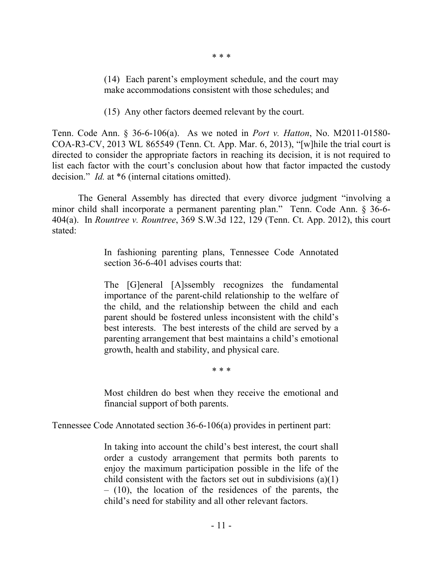\* \* \*

(14) Each parent's employment schedule, and the court may make accommodations consistent with those schedules; and

(15) Any other factors deemed relevant by the court.

Tenn. Code Ann. § 36-6-106(a). As we noted in *Port v. Hatton*, No. M2011-01580- COA-R3-CV, 2013 WL 865549 (Tenn. Ct. App. Mar. 6, 2013), "[w]hile the trial court is directed to consider the appropriate factors in reaching its decision, it is not required to list each factor with the court's conclusion about how that factor impacted the custody decision." *Id.* at \*6 (internal citations omitted).

The General Assembly has directed that every divorce judgment "involving a minor child shall incorporate a permanent parenting plan." Tenn. Code Ann. § 36-6- 404(a). In *Rountree v. Rountree*, 369 S.W.3d 122, 129 (Tenn. Ct. App. 2012), this court stated:

> In fashioning parenting plans, Tennessee Code Annotated section 36-6-401 advises courts that:

> The [G]eneral [A]ssembly recognizes the fundamental importance of the parent-child relationship to the welfare of the child, and the relationship between the child and each parent should be fostered unless inconsistent with the child's best interests. The best interests of the child are served by a parenting arrangement that best maintains a child's emotional growth, health and stability, and physical care.

> > \* \* \*

Most children do best when they receive the emotional and financial support of both parents.

Tennessee Code Annotated section 36-6-106(a) provides in pertinent part:

In taking into account the child's best interest, the court shall order a custody arrangement that permits both parents to enjoy the maximum participation possible in the life of the child consistent with the factors set out in subdivisions (a)(1) – (10), the location of the residences of the parents, the child's need for stability and all other relevant factors.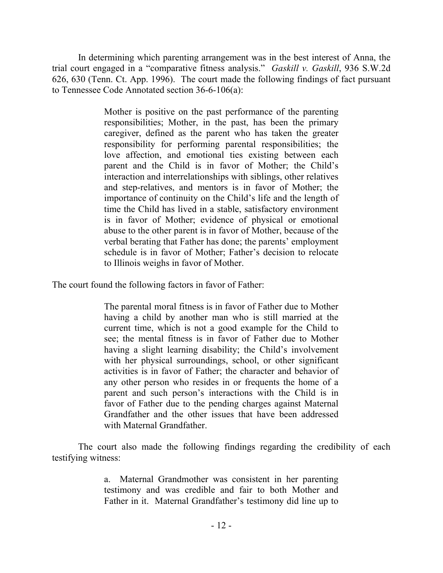In determining which parenting arrangement was in the best interest of Anna, the trial court engaged in a "comparative fitness analysis." *Gaskill v. Gaskill*, 936 S.W.2d 626, 630 (Tenn. Ct. App. 1996). The court made the following findings of fact pursuant to Tennessee Code Annotated section 36-6-106(a):

> Mother is positive on the past performance of the parenting responsibilities; Mother, in the past, has been the primary caregiver, defined as the parent who has taken the greater responsibility for performing parental responsibilities; the love affection, and emotional ties existing between each parent and the Child is in favor of Mother; the Child's interaction and interrelationships with siblings, other relatives and step-relatives, and mentors is in favor of Mother; the importance of continuity on the Child's life and the length of time the Child has lived in a stable, satisfactory environment is in favor of Mother; evidence of physical or emotional abuse to the other parent is in favor of Mother, because of the verbal berating that Father has done; the parents' employment schedule is in favor of Mother; Father's decision to relocate to Illinois weighs in favor of Mother.

The court found the following factors in favor of Father:

The parental moral fitness is in favor of Father due to Mother having a child by another man who is still married at the current time, which is not a good example for the Child to see; the mental fitness is in favor of Father due to Mother having a slight learning disability; the Child's involvement with her physical surroundings, school, or other significant activities is in favor of Father; the character and behavior of any other person who resides in or frequents the home of a parent and such person's interactions with the Child is in favor of Father due to the pending charges against Maternal Grandfather and the other issues that have been addressed with Maternal Grandfather.

The court also made the following findings regarding the credibility of each testifying witness:

> a. Maternal Grandmother was consistent in her parenting testimony and was credible and fair to both Mother and Father in it. Maternal Grandfather's testimony did line up to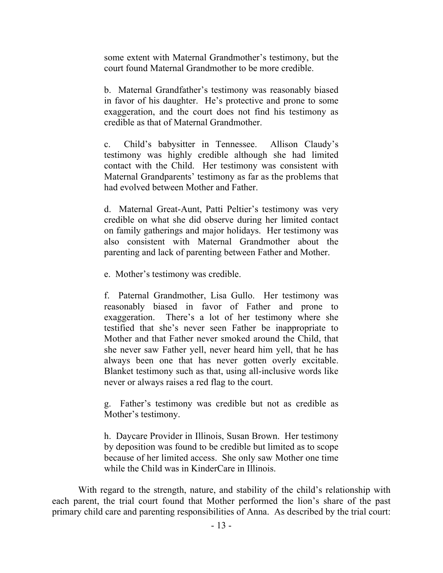some extent with Maternal Grandmother's testimony, but the court found Maternal Grandmother to be more credible.

b. Maternal Grandfather's testimony was reasonably biased in favor of his daughter. He's protective and prone to some exaggeration, and the court does not find his testimony as credible as that of Maternal Grandmother.

c. Child's babysitter in Tennessee. Allison Claudy's testimony was highly credible although she had limited contact with the Child. Her testimony was consistent with Maternal Grandparents' testimony as far as the problems that had evolved between Mother and Father.

d. Maternal Great-Aunt, Patti Peltier's testimony was very credible on what she did observe during her limited contact on family gatherings and major holidays. Her testimony was also consistent with Maternal Grandmother about the parenting and lack of parenting between Father and Mother.

e. Mother's testimony was credible.

f. Paternal Grandmother, Lisa Gullo. Her testimony was reasonably biased in favor of Father and prone to exaggeration. There's a lot of her testimony where she testified that she's never seen Father be inappropriate to Mother and that Father never smoked around the Child, that she never saw Father yell, never heard him yell, that he has always been one that has never gotten overly excitable. Blanket testimony such as that, using all-inclusive words like never or always raises a red flag to the court.

g. Father's testimony was credible but not as credible as Mother's testimony.

h. Daycare Provider in Illinois, Susan Brown. Her testimony by deposition was found to be credible but limited as to scope because of her limited access. She only saw Mother one time while the Child was in KinderCare in Illinois.

With regard to the strength, nature, and stability of the child's relationship with each parent, the trial court found that Mother performed the lion's share of the past primary child care and parenting responsibilities of Anna. As described by the trial court: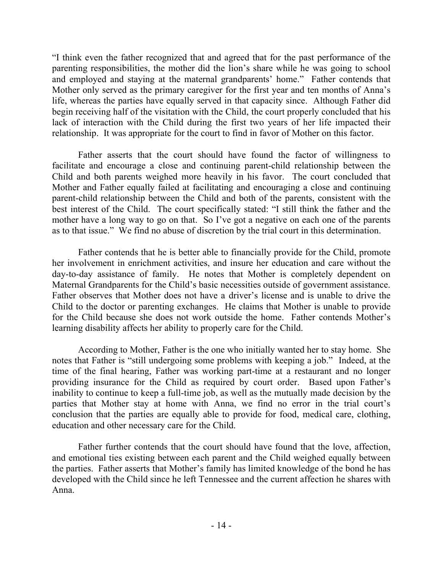"I think even the father recognized that and agreed that for the past performance of the parenting responsibilities, the mother did the lion's share while he was going to school and employed and staying at the maternal grandparents' home." Father contends that Mother only served as the primary caregiver for the first year and ten months of Anna's life, whereas the parties have equally served in that capacity since. Although Father did begin receiving half of the visitation with the Child, the court properly concluded that his lack of interaction with the Child during the first two years of her life impacted their relationship. It was appropriate for the court to find in favor of Mother on this factor.

Father asserts that the court should have found the factor of willingness to facilitate and encourage a close and continuing parent-child relationship between the Child and both parents weighed more heavily in his favor. The court concluded that Mother and Father equally failed at facilitating and encouraging a close and continuing parent-child relationship between the Child and both of the parents, consistent with the best interest of the Child. The court specifically stated: "I still think the father and the mother have a long way to go on that. So I've got a negative on each one of the parents as to that issue." We find no abuse of discretion by the trial court in this determination.

Father contends that he is better able to financially provide for the Child, promote her involvement in enrichment activities, and insure her education and care without the day-to-day assistance of family. He notes that Mother is completely dependent on Maternal Grandparents for the Child's basic necessities outside of government assistance. Father observes that Mother does not have a driver's license and is unable to drive the Child to the doctor or parenting exchanges. He claims that Mother is unable to provide for the Child because she does not work outside the home. Father contends Mother's learning disability affects her ability to properly care for the Child.

According to Mother, Father is the one who initially wanted her to stay home. She notes that Father is "still undergoing some problems with keeping a job." Indeed, at the time of the final hearing, Father was working part-time at a restaurant and no longer providing insurance for the Child as required by court order. Based upon Father's inability to continue to keep a full-time job, as well as the mutually made decision by the parties that Mother stay at home with Anna, we find no error in the trial court's conclusion that the parties are equally able to provide for food, medical care, clothing, education and other necessary care for the Child.

Father further contends that the court should have found that the love, affection, and emotional ties existing between each parent and the Child weighed equally between the parties. Father asserts that Mother's family has limited knowledge of the bond he has developed with the Child since he left Tennessee and the current affection he shares with Anna.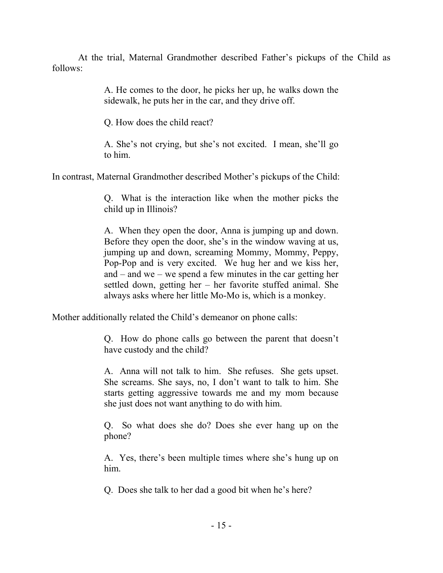At the trial, Maternal Grandmother described Father's pickups of the Child as follows:

> A. He comes to the door, he picks her up, he walks down the sidewalk, he puts her in the car, and they drive off.

Q. How does the child react?

A. She's not crying, but she's not excited. I mean, she'll go to him.

In contrast, Maternal Grandmother described Mother's pickups of the Child:

Q. What is the interaction like when the mother picks the child up in Illinois?

A. When they open the door, Anna is jumping up and down. Before they open the door, she's in the window waving at us, jumping up and down, screaming Mommy, Mommy, Peppy, Pop-Pop and is very excited. We hug her and we kiss her, and – and we – we spend a few minutes in the car getting her settled down, getting her – her favorite stuffed animal. She always asks where her little Mo-Mo is, which is a monkey.

Mother additionally related the Child's demeanor on phone calls:

Q. How do phone calls go between the parent that doesn't have custody and the child?

A. Anna will not talk to him. She refuses. She gets upset. She screams. She says, no, I don't want to talk to him. She starts getting aggressive towards me and my mom because she just does not want anything to do with him.

Q. So what does she do? Does she ever hang up on the phone?

A. Yes, there's been multiple times where she's hung up on him.

Q. Does she talk to her dad a good bit when he's here?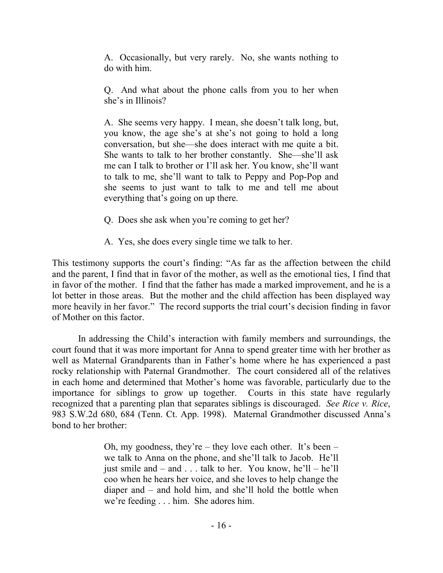A. Occasionally, but very rarely. No, she wants nothing to do with him.

Q. And what about the phone calls from you to her when she's in Illinois?

A. She seems very happy. I mean, she doesn't talk long, but, you know, the age she's at she's not going to hold a long conversation, but she—she does interact with me quite a bit. She wants to talk to her brother constantly. She—she'll ask me can I talk to brother or I'll ask her. You know, she'll want to talk to me, she'll want to talk to Peppy and Pop-Pop and she seems to just want to talk to me and tell me about everything that's going on up there.

- Q. Does she ask when you're coming to get her?
- A. Yes, she does every single time we talk to her.

This testimony supports the court's finding: "As far as the affection between the child and the parent, I find that in favor of the mother, as well as the emotional ties, I find that in favor of the mother. I find that the father has made a marked improvement, and he is a lot better in those areas. But the mother and the child affection has been displayed way more heavily in her favor." The record supports the trial court's decision finding in favor of Mother on this factor.

In addressing the Child's interaction with family members and surroundings, the court found that it was more important for Anna to spend greater time with her brother as well as Maternal Grandparents than in Father's home where he has experienced a past rocky relationship with Paternal Grandmother. The court considered all of the relatives in each home and determined that Mother's home was favorable, particularly due to the importance for siblings to grow up together. Courts in this state have regularly recognized that a parenting plan that separates siblings is discouraged. *See Rice v. Rice*, 983 S.W.2d 680, 684 (Tenn. Ct. App. 1998). Maternal Grandmother discussed Anna's bond to her brother:

> Oh, my goodness, they're – they love each other. It's been – we talk to Anna on the phone, and she'll talk to Jacob. He'll just smile and – and . . . talk to her. You know, he'll – he'll coo when he hears her voice, and she loves to help change the diaper and – and hold him, and she'll hold the bottle when we're feeding . . . him. She adores him.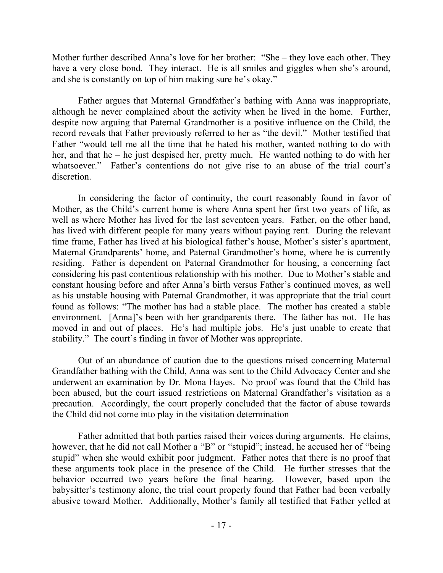Mother further described Anna's love for her brother: "She – they love each other. They have a very close bond. They interact. He is all smiles and giggles when she's around, and she is constantly on top of him making sure he's okay."

Father argues that Maternal Grandfather's bathing with Anna was inappropriate, although he never complained about the activity when he lived in the home. Further, despite now arguing that Paternal Grandmother is a positive influence on the Child, the record reveals that Father previously referred to her as "the devil." Mother testified that Father "would tell me all the time that he hated his mother, wanted nothing to do with her, and that he – he just despised her, pretty much. He wanted nothing to do with her whatsoever." Father's contentions do not give rise to an abuse of the trial court's discretion.

In considering the factor of continuity, the court reasonably found in favor of Mother, as the Child's current home is where Anna spent her first two years of life, as well as where Mother has lived for the last seventeen years. Father, on the other hand, has lived with different people for many years without paying rent. During the relevant time frame, Father has lived at his biological father's house, Mother's sister's apartment, Maternal Grandparents' home, and Paternal Grandmother's home, where he is currently residing. Father is dependent on Paternal Grandmother for housing, a concerning fact considering his past contentious relationship with his mother. Due to Mother's stable and constant housing before and after Anna's birth versus Father's continued moves, as well as his unstable housing with Paternal Grandmother, it was appropriate that the trial court found as follows: "The mother has had a stable place. The mother has created a stable environment. [Anna]'s been with her grandparents there. The father has not. He has moved in and out of places. He's had multiple jobs. He's just unable to create that stability." The court's finding in favor of Mother was appropriate.

Out of an abundance of caution due to the questions raised concerning Maternal Grandfather bathing with the Child, Anna was sent to the Child Advocacy Center and she underwent an examination by Dr. Mona Hayes. No proof was found that the Child has been abused, but the court issued restrictions on Maternal Grandfather's visitation as a precaution. Accordingly, the court properly concluded that the factor of abuse towards the Child did not come into play in the visitation determination

Father admitted that both parties raised their voices during arguments. He claims, however, that he did not call Mother a "B" or "stupid"; instead, he accused her of "being stupid" when she would exhibit poor judgment. Father notes that there is no proof that these arguments took place in the presence of the Child. He further stresses that the behavior occurred two years before the final hearing. However, based upon the babysitter's testimony alone, the trial court properly found that Father had been verbally abusive toward Mother. Additionally, Mother's family all testified that Father yelled at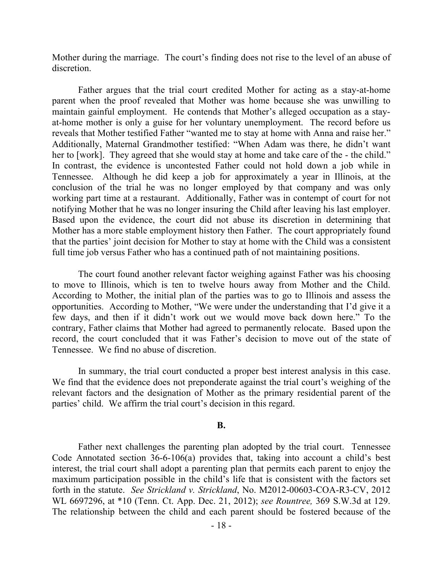Mother during the marriage. The court's finding does not rise to the level of an abuse of discretion.

Father argues that the trial court credited Mother for acting as a stay-at-home parent when the proof revealed that Mother was home because she was unwilling to maintain gainful employment. He contends that Mother's alleged occupation as a stayat-home mother is only a guise for her voluntary unemployment. The record before us reveals that Mother testified Father "wanted me to stay at home with Anna and raise her." Additionally, Maternal Grandmother testified: "When Adam was there, he didn't want her to [work]. They agreed that she would stay at home and take care of the - the child." In contrast, the evidence is uncontested Father could not hold down a job while in Tennessee. Although he did keep a job for approximately a year in Illinois, at the conclusion of the trial he was no longer employed by that company and was only working part time at a restaurant. Additionally, Father was in contempt of court for not notifying Mother that he was no longer insuring the Child after leaving his last employer. Based upon the evidence, the court did not abuse its discretion in determining that Mother has a more stable employment history then Father. The court appropriately found that the parties' joint decision for Mother to stay at home with the Child was a consistent full time job versus Father who has a continued path of not maintaining positions.

The court found another relevant factor weighing against Father was his choosing to move to Illinois, which is ten to twelve hours away from Mother and the Child. According to Mother, the initial plan of the parties was to go to Illinois and assess the opportunities. According to Mother, "We were under the understanding that I'd give it a few days, and then if it didn't work out we would move back down here." To the contrary, Father claims that Mother had agreed to permanently relocate. Based upon the record, the court concluded that it was Father's decision to move out of the state of Tennessee. We find no abuse of discretion.

In summary, the trial court conducted a proper best interest analysis in this case. We find that the evidence does not preponderate against the trial court's weighing of the relevant factors and the designation of Mother as the primary residential parent of the parties' child. We affirm the trial court's decision in this regard.

### **B.**

Father next challenges the parenting plan adopted by the trial court. Tennessee Code Annotated section 36-6-106(a) provides that, taking into account a child's best interest, the trial court shall adopt a parenting plan that permits each parent to enjoy the maximum participation possible in the child's life that is consistent with the factors set forth in the statute. *See Strickland v. Strickland*, No. M2012-00603-COA-R3-CV, 2012 WL 6697296, at \*10 (Tenn. Ct. App. Dec. 21, 2012); *see Rountree,* 369 S.W.3d at 129. The relationship between the child and each parent should be fostered because of the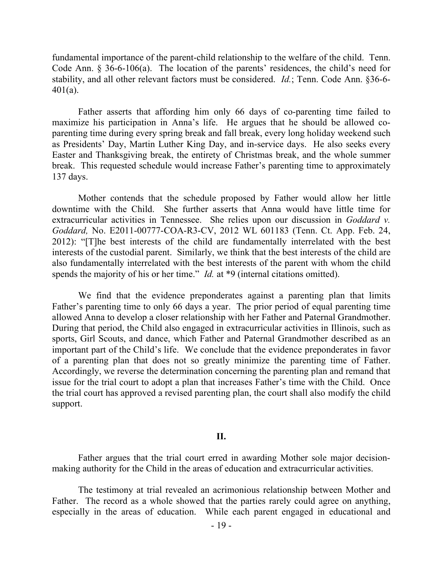fundamental importance of the parent-child relationship to the welfare of the child. Tenn. Code Ann. § 36-6-106(a). The location of the parents' residences, the child's need for stability, and all other relevant factors must be considered. *Id.*; Tenn. Code Ann. §36-6- 401(a).

Father asserts that affording him only 66 days of co-parenting time failed to maximize his participation in Anna's life. He argues that he should be allowed coparenting time during every spring break and fall break, every long holiday weekend such as Presidents' Day, Martin Luther King Day, and in-service days. He also seeks every Easter and Thanksgiving break, the entirety of Christmas break, and the whole summer break. This requested schedule would increase Father's parenting time to approximately 137 days.

Mother contends that the schedule proposed by Father would allow her little downtime with the Child. She further asserts that Anna would have little time for extracurricular activities in Tennessee. She relies upon our discussion in *Goddard v. Goddard,* No. E2011-00777-COA-R3-CV, 2012 WL 601183 (Tenn. Ct. App. Feb. 24, 2012): "[T]he best interests of the child are fundamentally interrelated with the best interests of the custodial parent. Similarly, we think that the best interests of the child are also fundamentally interrelated with the best interests of the parent with whom the child spends the majority of his or her time." *Id.* at \*9 (internal citations omitted).

We find that the evidence preponderates against a parenting plan that limits Father's parenting time to only 66 days a year. The prior period of equal parenting time allowed Anna to develop a closer relationship with her Father and Paternal Grandmother. During that period, the Child also engaged in extracurricular activities in Illinois, such as sports, Girl Scouts, and dance, which Father and Paternal Grandmother described as an important part of the Child's life. We conclude that the evidence preponderates in favor of a parenting plan that does not so greatly minimize the parenting time of Father. Accordingly, we reverse the determination concerning the parenting plan and remand that issue for the trial court to adopt a plan that increases Father's time with the Child. Once the trial court has approved a revised parenting plan, the court shall also modify the child support.

#### **II.**

Father argues that the trial court erred in awarding Mother sole major decisionmaking authority for the Child in the areas of education and extracurricular activities.

The testimony at trial revealed an acrimonious relationship between Mother and Father. The record as a whole showed that the parties rarely could agree on anything, especially in the areas of education. While each parent engaged in educational and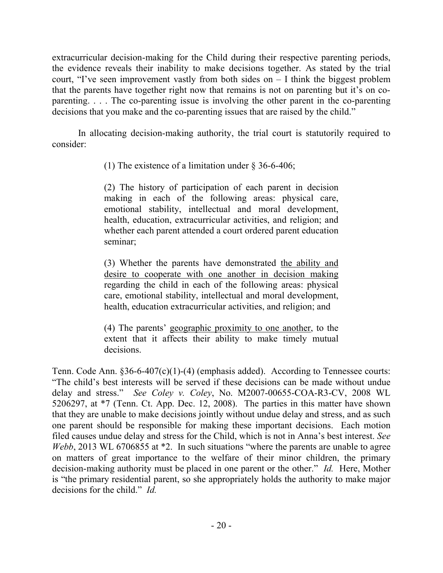extracurricular decision-making for the Child during their respective parenting periods, the evidence reveals their inability to make decisions together. As stated by the trial court, "I've seen improvement vastly from both sides on  $-$  I think the biggest problem that the parents have together right now that remains is not on parenting but it's on coparenting. . . . The co-parenting issue is involving the other parent in the co-parenting decisions that you make and the co-parenting issues that are raised by the child."

In allocating decision-making authority, the trial court is statutorily required to consider:

(1) The existence of a limitation under § 36-6-406;

(2) The history of participation of each parent in decision making in each of the following areas: physical care, emotional stability, intellectual and moral development, health, education, extracurricular activities, and religion; and whether each parent attended a court ordered parent education seminar;

(3) Whether the parents have demonstrated the ability and desire to cooperate with one another in decision making regarding the child in each of the following areas: physical care, emotional stability, intellectual and moral development, health, education extracurricular activities, and religion; and

(4) The parents' geographic proximity to one another, to the extent that it affects their ability to make timely mutual decisions.

Tenn. Code Ann. §36-6-407(c)(1)-(4) (emphasis added). According to Tennessee courts: "The child's best interests will be served if these decisions can be made without undue delay and stress." *See Coley v. Coley*, No. M2007-00655-COA-R3-CV, 2008 WL 5206297, at \*7 (Tenn. Ct. App. Dec. 12, 2008). The parties in this matter have shown that they are unable to make decisions jointly without undue delay and stress, and as such one parent should be responsible for making these important decisions. Each motion filed causes undue delay and stress for the Child, which is not in Anna's best interest. *See Webb*, 2013 WL 6706855 at \*2. In such situations "where the parents are unable to agree on matters of great importance to the welfare of their minor children, the primary decision-making authority must be placed in one parent or the other." *Id.* Here, Mother is "the primary residential parent, so she appropriately holds the authority to make major decisions for the child." *Id.*